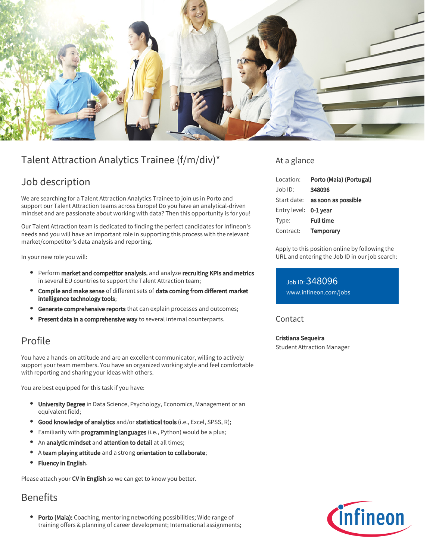

# Talent Attraction Analytics Trainee (f/m/div)\*

# Job description

We are searching for a Talent Attraction Analytics Trainee to join us in Porto and support our Talent Attraction teams across Europe! Do you have an analytical-driven mindset and are passionate about working with data? Then this opportunity is for you!

Our Talent Attraction team is dedicated to finding the perfect candidates for Infineon's needs and you will have an important role in supporting this process with the relevant market/competitor's data analysis and reporting.

In your new role you will:

- Perform market and competitor analysis, and analyze recruiting KPIs and metrics in several EU countries to support the Talent Attraction team;
- Compile and make sense of different sets of data coming from different market intelligence technology tools;
- **Generate comprehensive reports** that can explain processes and outcomes;
- Present data in a comprehensive way to several internal counterparts.

# Profile

You have a hands-on attitude and are an excellent communicator, willing to actively support your team members. You have an organized working style and feel comfortable with reporting and sharing your ideas with others.

You are best equipped for this task if you have:

- **University Degree** in Data Science, Psychology, Economics, Management or an equivalent field;
- **Good knowledge of analytics** and/or statistical tools (i.e., Excel, SPSS, R);
- Familiarity with **programming languages** (i.e., Python) would be a plus;
- An analytic mindset and attention to detail at all times;
- $\bullet$ A team playing attitude and a strong orientation to collaborate;
- Fluency in English.

Please attach your CV in English so we can get to know you better.

## Benefits

• Porto (Maia): Coaching, mentoring networking possibilities; Wide range of training offers & planning of career development; International assignments;

### At a glance

| Location:             | Porto (Maia) (Portugal)         |
|-----------------------|---------------------------------|
| $Job$ ID:             | 348096                          |
|                       | Start date: as soon as possible |
| Entry level: 0-1 year |                                 |
| Type:                 | <b>Full time</b>                |
| Contract:             | Temporary                       |

Apply to this position online by following the URL and entering the Job ID in our job search:

Job ID: 348096 [www.infineon.com/jobs](https://www.infineon.com/jobs)

### Contact

Cristiana Sequeira Student Attraction Manager